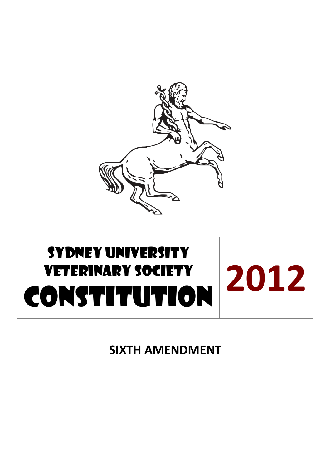

# SYDNEY UNIVERSITY Veterinary Society **CONSTITUTION** <sup>2012</sup>

**SIXTH AMENDMENT**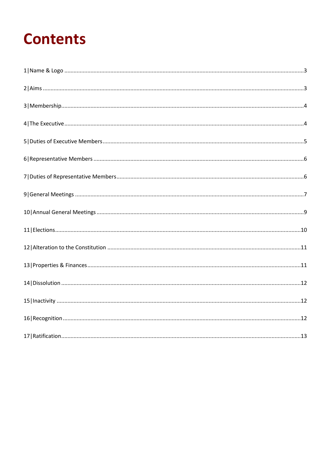## **Contents**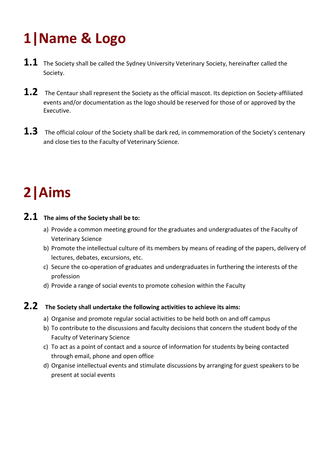## <span id="page-2-0"></span>**1|Name & Logo**

- 1.1 The Society shall be called the Sydney University Veterinary Society, hereinafter called the Society.
- 1.2 The Centaur shall represent the Society as the official mascot. Its depiction on Society-affiliated events and/or documentation as the logo should be reserved for those of or approved by the Executive.
- **1.3** The official colour of the Society shall be dark red, in commemoration of the Society's centenary and close ties to the Faculty of Veterinary Science.

## <span id="page-2-1"></span>**2|Aims**

### **2.1 The aims of the Society shall be to:**

- a) Provide a common meeting ground for the graduates and undergraduates of the Faculty of Veterinary Science
- b) Promote the intellectual culture of its members by means of reading of the papers, delivery of lectures, debates, excursions, etc.
- c) Secure the co-operation of graduates and undergraduates in furthering the interests of the profession
- d) Provide a range of social events to promote cohesion within the Faculty

### **2.2 The Society shall undertake the following activities to achieve its aims:**

- a) Organise and promote regular social activities to be held both on and off campus
- b) To contribute to the discussions and faculty decisions that concern the student body of the Faculty of Veterinary Science
- c) To act as a point of contact and a source of information for students by being contacted through email, phone and open office
- d) Organise intellectual events and stimulate discussions by arranging for guest speakers to be present at social events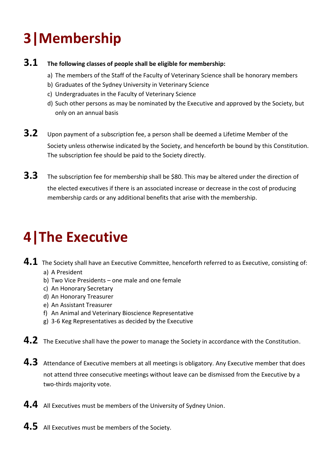## <span id="page-3-0"></span>**3|Membership**

### **3.1 The following classes of people shall be eligible for membership:**

- a) The members of the Staff of the Faculty of Veterinary Science shall be honorary members
- b) Graduates of the Sydney University in Veterinary Science
- c) Undergraduates in the Faculty of Veterinary Science
- d) Such other persons as may be nominated by the Executive and approved by the Society, but only on an annual basis
- **3.2** Upon payment of a subscription fee, a person shall be deemed a Lifetime Member of the Society unless otherwise indicated by the Society, and henceforth be bound by this Constitution. The subscription fee should be paid to the Society directly.
- **3.3** The subscription fee for membership shall be \$80. This may be altered under the direction of the elected executives if there is an associated increase or decrease in the cost of producing membership cards or any additional benefits that arise with the membership.

## <span id="page-3-1"></span>**4|The Executive**

- **4.1** The Society shall have an Executive Committee, henceforth referred to as Executive, consisting of: a) A President
	- b) Two Vice Presidents one male and one female
	- c) An Honorary Secretary
	- d) An Honorary Treasurer
	- e) An Assistant Treasurer
	- f) An Animal and Veterinary Bioscience Representative
	- g) 3-6 Keg Representatives as decided by the Executive
- **4.2** The Executive shall have the power to manage the Society in accordance with the Constitution.
- **4.3** Attendance of Executive members at all meetings is obligatory. Any Executive member that does not attend three consecutive meetings without leave can be dismissed from the Executive by a two-thirds majority vote.
- **4.4** All Executives must be members of the University of Sydney Union.
- **4.5** All Executives must be members of the Society.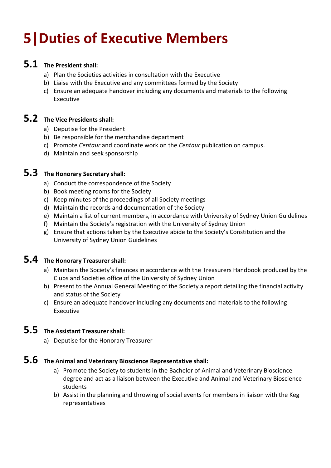## <span id="page-4-0"></span>**5|Duties of Executive Members**

### **5.1 The President shall:**

- a) Plan the Societies activities in consultation with the Executive
- b) Liaise with the Executive and any committees formed by the Society
- c) Ensure an adequate handover including any documents and materials to the following Executive

### **5.2 The Vice Presidents shall:**

- a) Deputise for the President
- b) Be responsible for the merchandise department
- c) Promote *Centaur* and coordinate work on the *Centaur* publication on campus.
- d) Maintain and seek sponsorship

### **5.3 The Honorary Secretary shall:**

- a) Conduct the correspondence of the Society
- b) Book meeting rooms for the Society
- c) Keep minutes of the proceedings of all Society meetings
- d) Maintain the records and documentation of the Society
- e) Maintain a list of current members, in accordance with University of Sydney Union Guidelines
- f) Maintain the Society's registration with the University of Sydney Union
- g) Ensure that actions taken by the Executive abide to the Society's Constitution and the University of Sydney Union Guidelines

### **5.4 The Honorary Treasurer shall:**

- a) Maintain the Society's finances in accordance with the Treasurers Handbook produced by the Clubs and Societies office of the University of Sydney Union
- b) Present to the Annual General Meeting of the Society a report detailing the financial activity and status of the Society
- c) Ensure an adequate handover including any documents and materials to the following Executive

### **5.5 The Assistant Treasurer shall:**

a) Deputise for the Honorary Treasurer

### **5.6 The Animal and Veterinary Bioscience Representative shall:**

- a) Promote the Society to students in the Bachelor of Animal and Veterinary Bioscience degree and act as a liaison between the Executive and Animal and Veterinary Bioscience students
- b) Assist in the planning and throwing of social events for members in liaison with the Keg representatives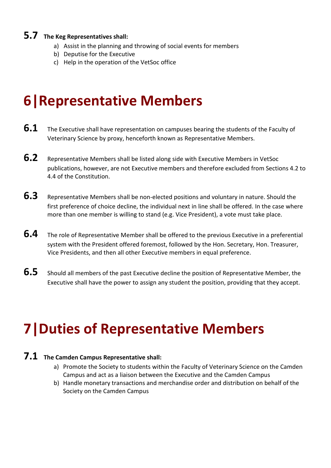### **5.7 The Keg Representatives shall:**

- a) Assist in the planning and throwing of social events for members
- b) Deputise for the Executive
- c) Help in the operation of the VetSoc office

### <span id="page-5-0"></span>**6|Representative Members**

- **6.1** The Executive shall have representation on campuses bearing the students of the Faculty of Veterinary Science by proxy, henceforth known as Representative Members.
- **6.2** Representative Members shall be listed along side with Executive Members in VetSoc publications, however, are not Executive members and therefore excluded from Sections 4.2 to 4.4 of the Constitution.
- **6.3** Representative Members shall be non-elected positions and voluntary in nature. Should the first preference of choice decline, the individual next in line shall be offered. In the case where more than one member is willing to stand (e.g. Vice President), a vote must take place.
- **6.4** The role of Representative Member shall be offered to the previous Executive in a preferential system with the President offered foremost, followed by the Hon. Secretary, Hon. Treasurer, Vice Presidents, and then all other Executive members in equal preference.
- **6.5** Should all members of the past Executive decline the position of Representative Member, the Executive shall have the power to assign any student the position, providing that they accept.

### <span id="page-5-1"></span>**7|Duties of Representative Members**

#### **7.1 The Camden Campus Representative shall:**

- a) Promote the Society to students within the Faculty of Veterinary Science on the Camden Campus and act as a liaison between the Executive and the Camden Campus
- b) Handle monetary transactions and merchandise order and distribution on behalf of the Society on the Camden Campus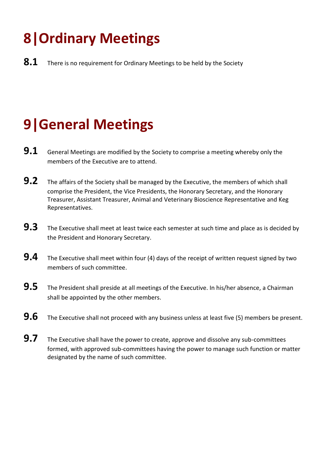## **8|Ordinary Meetings**

8.1 There is no requirement for Ordinary Meetings to be held by the Society

## <span id="page-6-0"></span>**9|General Meetings**

- **9.1** General Meetings are modified by the Society to comprise a meeting whereby only the members of the Executive are to attend.
- **9.2** The affairs of the Society shall be managed by the Executive, the members of which shall comprise the President, the Vice Presidents, the Honorary Secretary, and the Honorary Treasurer, Assistant Treasurer, Animal and Veterinary Bioscience Representative and Keg Representatives.
- **9.3** The Executive shall meet at least twice each semester at such time and place as is decided by the President and Honorary Secretary.
- **9.4** The Executive shall meet within four (4) days of the receipt of written request signed by two members of such committee.
- **9.5** The President shall preside at all meetings of the Executive. In his/her absence, a Chairman shall be appointed by the other members.
- **9.6** The Executive shall not proceed with any business unless at least five (5) members be present.
- **9.7** The Executive shall have the power to create, approve and dissolve any sub-committees formed, with approved sub-committees having the power to manage such function or matter designated by the name of such committee.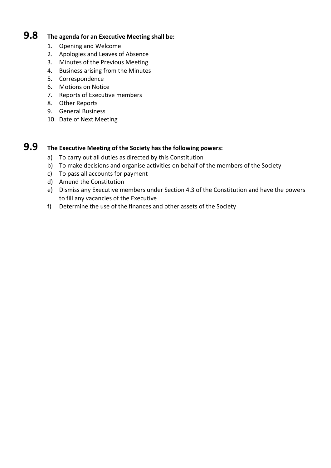### **9.8 The agenda for an Executive Meeting shall be:**

- 1. Opening and Welcome
- 2. Apologies and Leaves of Absence
- 3. Minutes of the Previous Meeting
- 4. Business arising from the Minutes
- 5. Correspondence
- 6. Motions on Notice
- 7. Reports of Executive members
- 8. Other Reports
- 9. General Business
- 10. Date of Next Meeting

### **9.9 The Executive Meeting of the Society has the following powers:**

- a) To carry out all duties as directed by this Constitution
- b) To make decisions and organise activities on behalf of the members of the Society
- c) To pass all accounts for payment
- d) Amend the Constitution
- e) Dismiss any Executive members under Section 4.3 of the Constitution and have the powers to fill any vacancies of the Executive
- f) Determine the use of the finances and other assets of the Society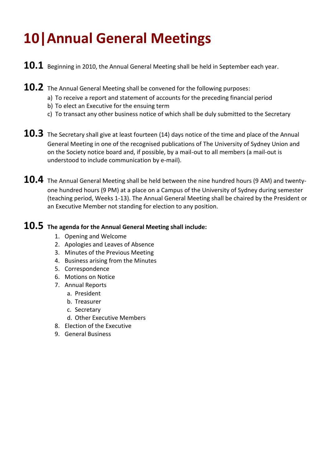## <span id="page-8-0"></span>**10|Annual General Meetings**

- **10.1** Beginning in 2010, the Annual General Meeting shall be held in September each year.
- **10.2** The Annual General Meeting shall be convened for the following purposes:
	- a) To receive a report and statement of accounts for the preceding financial period
	- b) To elect an Executive for the ensuing term
	- c) To transact any other business notice of which shall be duly submitted to the Secretary
- **10.3** The Secretary shall give at least fourteen (14) days notice of the time and place of the Annual General Meeting in one of the recognised publications of The University of Sydney Union and on the Society notice board and, if possible, by a mail-out to all members (a mail-out is understood to include communication by e-mail).
- **10.4** The Annual General Meeting shall be held between the nine hundred hours (9 AM) and twentyone hundred hours (9 PM) at a place on a Campus of the University of Sydney during semester (teaching period, Weeks 1-13). The Annual General Meeting shall be chaired by the President or an Executive Member not standing for election to any position.

### **10.5 The agenda for the Annual General Meeting shall include:**

- 1. Opening and Welcome
- 2. Apologies and Leaves of Absence
- 3. Minutes of the Previous Meeting
- 4. Business arising from the Minutes
- 5. Correspondence
- 6. Motions on Notice
- 7. Annual Reports
	- a. President
	- b. Treasurer
	- c. Secretary
	- d. Other Executive Members
- 8. Election of the Executive
- 9. General Business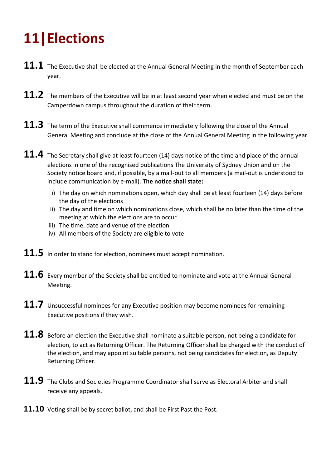## <span id="page-9-0"></span>**11|Elections**

- 11.1 The Executive shall be elected at the Annual General Meeting in the month of September each year.
- 11.2 The members of the Executive will be in at least second year when elected and must be on the Camperdown campus throughout the duration of their term.
- 11.3 The term of the Executive shall commence immediately following the close of the Annual General Meeting and conclude at the close of the Annual General Meeting in the following year.
- **11.4** The Secretary shall give at least fourteen (14) days notice of the time and place of the annual elections in one of the recognised publications The University of Sydney Union and on the Society notice board and, if possible, by a mail-out to all members (a mail-out is understood to include communication by e-mail). **The notice shall state:**
	- i) The day on which nominations open, which day shall be at least fourteen (14) days before the day of the elections
	- ii) The day and time on which nominations close, which shall be no later than the time of the meeting at which the elections are to occur
	- iii) The time, date and venue of the election
	- iv) All members of the Society are eligible to vote
- 11.5 In order to stand for election, nominees must accept nomination.
- **11.6** Every member of the Society shall be entitled to nominate and vote at the Annual General Meeting.
- **11.7** Unsuccessful nominees for any Executive position may become nominees for remaining Executive positions if they wish.
- **11.8** Before an election the Executive shall nominate a suitable person, not being a candidate for election, to act as Returning Officer. The Returning Officer shall be charged with the conduct of the election, and may appoint suitable persons, not being candidates for election, as Deputy Returning Officer.
- **11.9** The Clubs and Societies Programme Coordinator shall serve as Electoral Arbiter and shall receive any appeals.
- **11.10** Voting shall be by secret ballot, and shall be First Past the Post.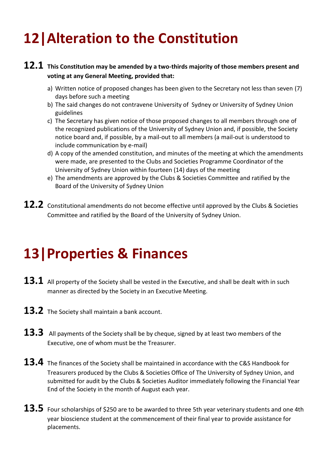## <span id="page-10-0"></span>**12|Alteration to the Constitution**

#### **12.1 This Constitution may be amended by a two-thirds majority of those members present and voting at any General Meeting, provided that:**

- a) Written notice of proposed changes has been given to the Secretary not less than seven (7) days before such a meeting
- b) The said changes do not contravene University of Sydney or University of Sydney Union guidelines
- c) The Secretary has given notice of those proposed changes to all members through one of the recognized publications of the University of Sydney Union and, if possible, the Society notice board and, if possible, by a mail-out to all members (a mail-out is understood to include communication by e-mail)
- d) A copy of the amended constitution, and minutes of the meeting at which the amendments were made, are presented to the Clubs and Societies Programme Coordinator of the University of Sydney Union within fourteen (14) days of the meeting
- e) The amendments are approved by the Clubs & Societies Committee and ratified by the Board of the University of Sydney Union
- 12.2 Constitutional amendments do not become effective until approved by the Clubs & Societies Committee and ratified by the Board of the University of Sydney Union.

### <span id="page-10-1"></span>**13|Properties & Finances**

- 13.1 All property of the Society shall be vested in the Executive, and shall be dealt with in such manner as directed by the Society in an Executive Meeting.
- **13.2** The Society shall maintain a bank account.
- 13.3 All payments of the Society shall be by cheque, signed by at least two members of the Executive, one of whom must be the Treasurer.
- **13.4** The finances of the Society shall be maintained in accordance with the C&S Handbook for Treasurers produced by the Clubs & Societies Office of The University of Sydney Union, and submitted for audit by the Clubs & Societies Auditor immediately following the Financial Year End of the Society in the month of August each year.
- 13.5 Four scholarships of \$250 are to be awarded to three 5th year veterinary students and one 4th year bioscience student at the commencement of their final year to provide assistance for placements.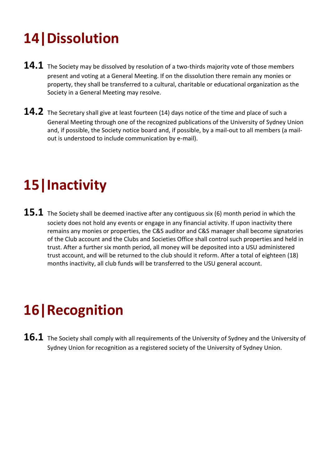## <span id="page-11-0"></span>**14|Dissolution**

- **14.1** The Society may be dissolved by resolution of a two-thirds majority vote of those members present and voting at a General Meeting. If on the dissolution there remain any monies or property, they shall be transferred to a cultural, charitable or educational organization as the Society in a General Meeting may resolve.
- 14.2 The Secretary shall give at least fourteen (14) days notice of the time and place of such a General Meeting through one of the recognized publications of the University of Sydney Union and, if possible, the Society notice board and, if possible, by a mail-out to all members (a mailout is understood to include communication by e-mail).

## <span id="page-11-1"></span>**15|Inactivity**

**15.1** The Society shall be deemed inactive after any contiguous six (6) month period in which the society does not hold any events or engage in any financial activity. If upon inactivity there remains any monies or properties, the C&S auditor and C&S manager shall become signatories of the Club account and the Clubs and Societies Office shall control such properties and held in trust. After a further six month period, all money will be deposited into a USU administered trust account, and will be returned to the club should it reform. After a total of eighteen (18) months inactivity, all club funds will be transferred to the USU general account.

## <span id="page-11-2"></span>**16|Recognition**

**16.1** The Society shall comply with all requirements of the University of Sydney and the University of Sydney Union for recognition as a registered society of the University of Sydney Union.